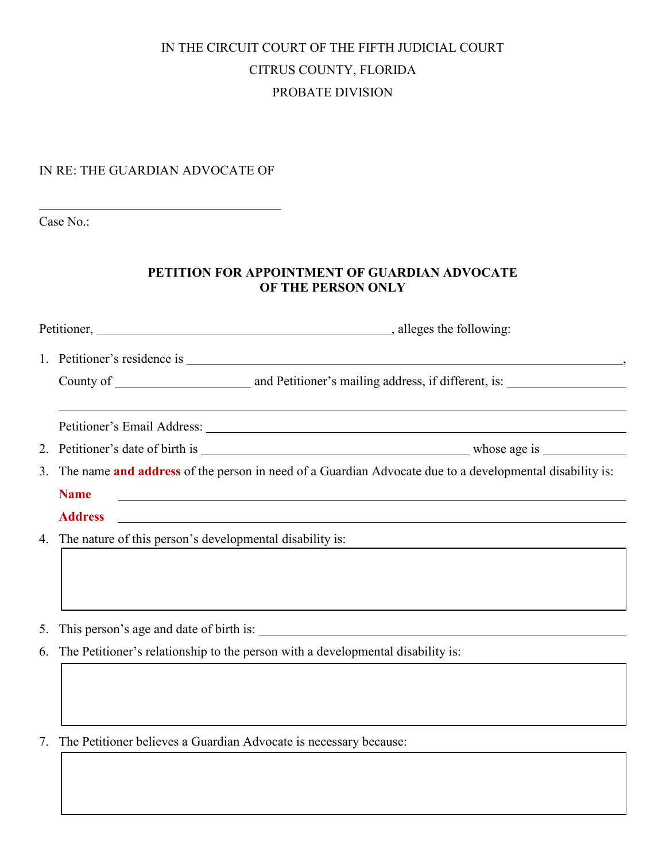## IN THE CIRCUIT COURT OF THE FIFTH JUDICIAL COURT CITRUS COUNTY, FLORIDA PROBATE DIVISION

## IN RE: THE GUARDIAN ADVOCATE OF

Case No.:

## **PETITION FOR APPOINTMENT OF GUARDIAN ADVOCATE OF THE PERSON ONLY**

| The name and address of the person in need of a Guardian Advocate due to a developmental disability is:                                |
|----------------------------------------------------------------------------------------------------------------------------------------|
| <b>Name</b><br><u> 1989 - Johann Stoff, amerikansk politiker (d. 1989)</u>                                                             |
| <u> 1989 - Johann Stoff, deutscher Stoffen und der Stoffen und der Stoffen und der Stoffen und der Stoffen und d</u><br><b>Address</b> |
| 4. The nature of this person's developmental disability is:                                                                            |
|                                                                                                                                        |
|                                                                                                                                        |
|                                                                                                                                        |
|                                                                                                                                        |
| The Petitioner's relationship to the person with a developmental disability is:                                                        |
|                                                                                                                                        |
|                                                                                                                                        |
|                                                                                                                                        |
| The Petitioner believes a Guardian Advocate is necessary because:                                                                      |
| 7.                                                                                                                                     |